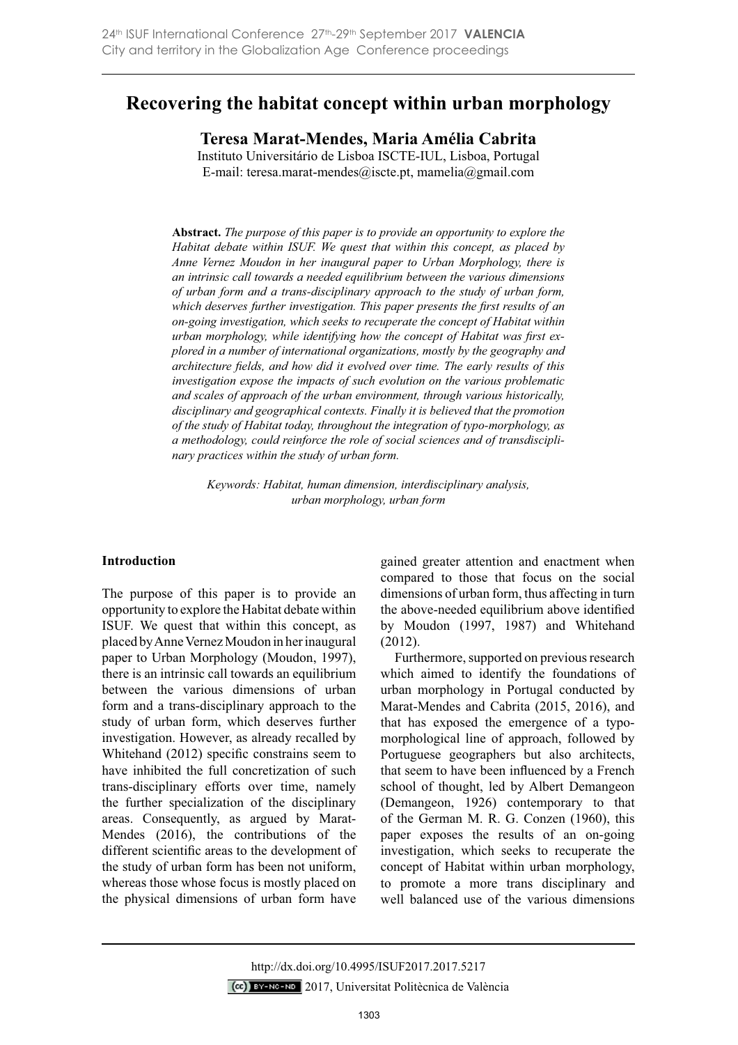# **Recovering the habitat concept within urban morphology**

**Teresa Marat-Mendes, Maria Amélia Cabrita** Instituto Universitário de Lisboa ISCTE-IUL, Lisboa, Portugal

E-mail: teresa.marat-mendes@iscte.pt, mamelia@gmail.com

**Abstract.** *The purpose of this paper is to provide an opportunity to explore the Habitat debate within ISUF. We quest that within this concept, as placed by Anne Vernez Moudon in her inaugural paper to Urban Morphology, there is an intrinsic call towards a needed equilibrium between the various dimensions of urban form and a trans-disciplinary approach to the study of urban form,*  which deserves further investigation. This paper presents the first results of an *on-going investigation, which seeks to recuperate the concept of Habitat within Xurban morphology, while identifying how the concept of Habitat was first explored in a number of international organizations, mostly by the geography and*  architecture fields, and how did it evolved over time. The early results of this *investigation expose the impacts of such evolution on the various problematic and scales of approach of the urban environment, through various historically, disciplinary and geographical contexts. Finally it is believed that the promotion of the study of Habitat today, throughout the integration of typo-morphology, as a methodology, could reinforce the role of social sciences and of transdisciplinary practices within the study of urban form.*

*Keywords: Habitat, human dimension, interdisciplinary analysis, urban morphology, urban form*

## **Introduction**

The purpose of this paper is to provide an opportunity to explore the Habitat debate within ISUF. We quest that within this concept, as placed by Anne Vernez Moudon in her inaugural paper to Urban Morphology (Moudon, 1997), there is an intrinsic call towards an equilibrium between the various dimensions of urban form and a trans-disciplinary approach to the study of urban form, which deserves further investigation. However, as already recalled by Whitehand  $(2012)$  specific constrains seem to have inhibited the full concretization of such trans-disciplinary efforts over time, namely the further specialization of the disciplinary areas. Consequently, as argued by Marat-Mendes (2016), the contributions of the different scientific areas to the development of the study of urban form has been not uniform, whereas those whose focus is mostly placed on the physical dimensions of urban form have

gained greater attention and enactment when compared to those that focus on the social dimensions of urban form, thus affecting in turn the above-needed equilibrium above identified by Moudon (1997, 1987) and Whitehand (2012).

Furthermore, supported on previous research which aimed to identify the foundations of urban morphology in Portugal conducted by Marat-Mendes and Cabrita (2015, 2016), and that has exposed the emergence of a typomorphological line of approach, followed by Portuguese geographers but also architects, that seem to have been influenced by a French school of thought, led by Albert Demangeon (Demangeon, 1926) contemporary to that of the German M. R. G. Conzen (1960), this paper exposes the results of an on-going investigation, which seeks to recuperate the concept of Habitat within urban morphology, to promote a more trans disciplinary and well balanced use of the various dimensions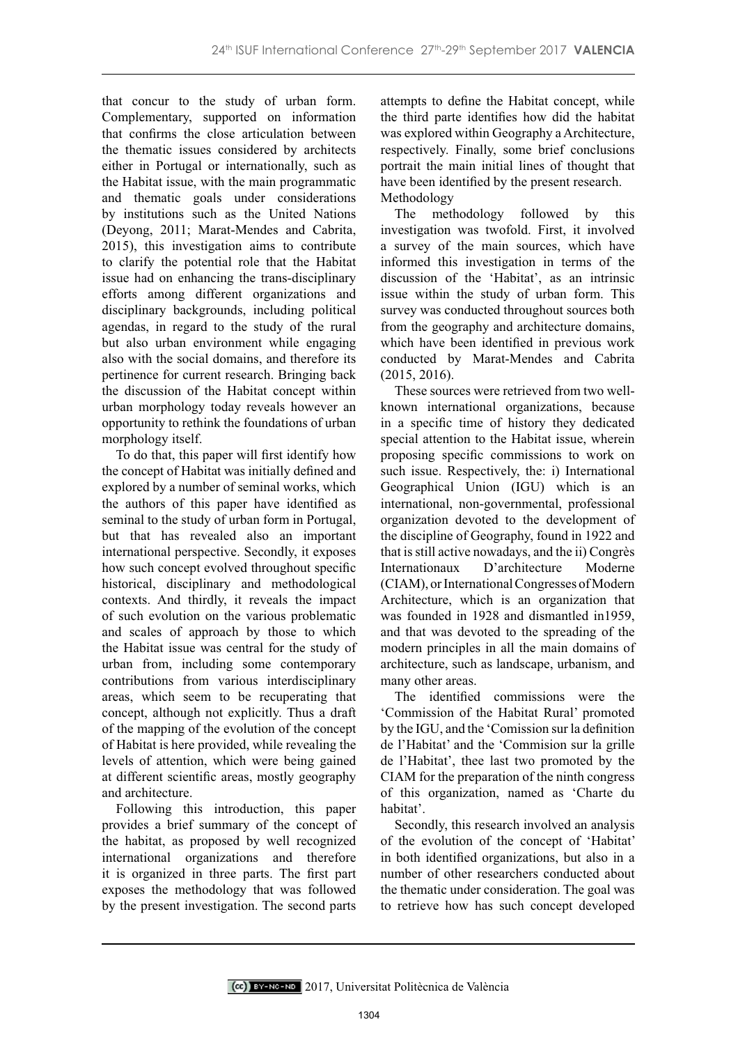that concur to the study of urban form. Complementary, supported on information that confirms the close articulation between the thematic issues considered by architects either in Portugal or internationally, such as the Habitat issue, with the main programmatic and thematic goals under considerations by institutions such as the United Nations (Deyong, 2011; Marat-Mendes and Cabrita, 2015), this investigation aims to contribute to clarify the potential role that the Habitat issue had on enhancing the trans-disciplinary efforts among different organizations and disciplinary backgrounds, including political agendas, in regard to the study of the rural but also urban environment while engaging also with the social domains, and therefore its pertinence for current research. Bringing back the discussion of the Habitat concept within urban morphology today reveals however an opportunity to rethink the foundations of urban morphology itself.

To do that, this paper will first identify how the concept of Habitat was initially defined and explored by a number of seminal works, which the authors of this paper have identified as seminal to the study of urban form in Portugal, but that has revealed also an important international perspective. Secondly, it exposes how such concept evolved throughout specific historical, disciplinary and methodological contexts. And thirdly, it reveals the impact of such evolution on the various problematic and scales of approach by those to which the Habitat issue was central for the study of urban from, including some contemporary contributions from various interdisciplinary areas, which seem to be recuperating that concept, although not explicitly. Thus a draft of the mapping of the evolution of the concept of Habitat is here provided, while revealing the levels of attention, which were being gained at different scientific areas, mostly geography and architecture.

Following this introduction, this paper provides a brief summary of the concept of the habitat, as proposed by well recognized international organizations and therefore it is organized in three parts. The first part exposes the methodology that was followed by the present investigation. The second parts

attempts to define the Habitat concept, while the third parte identifies how did the habitat was explored within Geography a Architecture, respectively. Finally, some brief conclusions portrait the main initial lines of thought that have been identified by the present research. Methodology

The methodology followed by this investigation was twofold. First, it involved a survey of the main sources, which have informed this investigation in terms of the discussion of the 'Habitat', as an intrinsic issue within the study of urban form. This survey was conducted throughout sources both from the geography and architecture domains, which have been identified in previous work conducted by Marat-Mendes and Cabrita (2015, 2016).

These sources were retrieved from two wellknown international organizations, because in a specific time of history they dedicated special attention to the Habitat issue, wherein proposing specific commissions to work on such issue. Respectively, the: i) International Geographical Union (IGU) which is an international, non-governmental, professional organization devoted to the development of the discipline of Geography, found in 1922 and that is still active nowadays, and the ii) Congrès Internationaux D'architecture Moderne (CIAM), or International Congresses of Modern Architecture, which is an organization that was founded in 1928 and dismantled in1959, and that was devoted to the spreading of the modern principles in all the main domains of architecture, such as landscape, urbanism, and many other areas.

The identified commissions were the 'Commission of the Habitat Rural' promoted by the IGU, and the 'Comission sur la definition de l'Habitat' and the 'Commision sur la grille de l'Habitat', thee last two promoted by the CIAM for the preparation of the ninth congress of this organization, named as 'Charte du habitat'.

Secondly, this research involved an analysis of the evolution of the concept of 'Habitat' in both identified organizations, but also in a number of other researchers conducted about the thematic under consideration. The goal was to retrieve how has such concept developed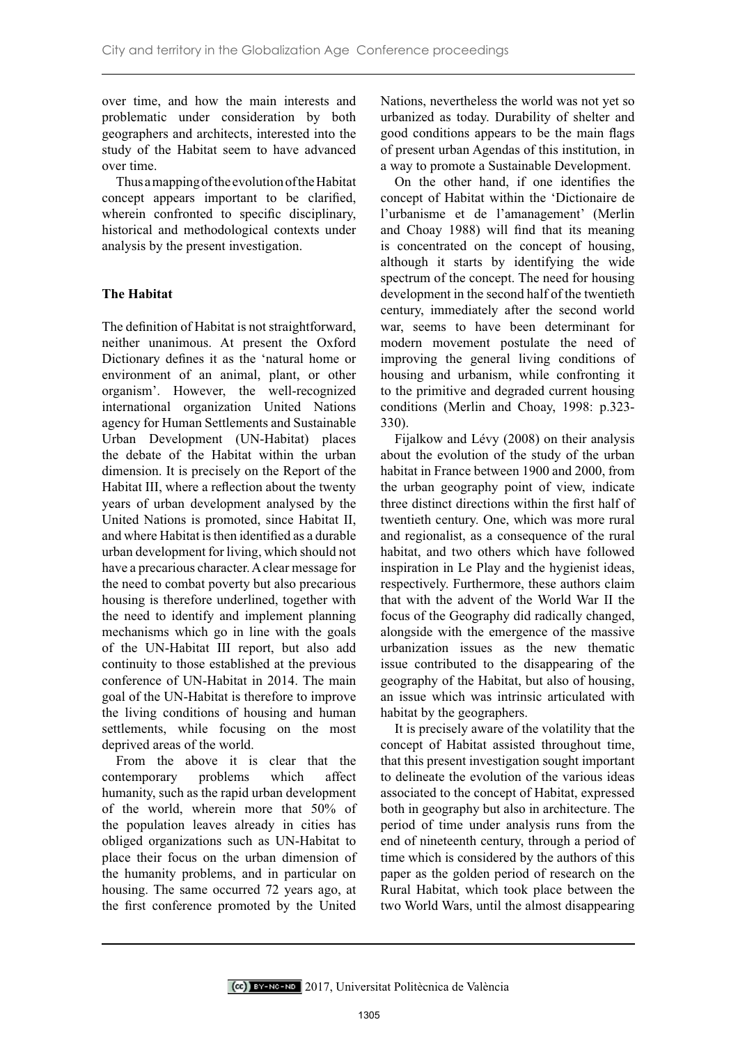over time, and how the main interests and problematic under consideration by both geographers and architects, interested into the study of the Habitat seem to have advanced over time.

Thus a mapping of the evolution of the Habitat concept appears important to be clarified, wherein confronted to specific disciplinary, historical and methodological contexts under analysis by the present investigation.

# **The Habitat**

The definition of Habitat is not straightforward, neither unanimous. At present the Oxford Dictionary defines it as the 'natural home or environment of an animal, plant, or other organism'. However, the well-recognized international organization United Nations agency for Human Settlements and Sustainable Urban Development (UN-Habitat) places the debate of the Habitat within the urban dimension. It is precisely on the Report of the Habitat III, where a reflection about the twenty years of urban development analysed by the United Nations is promoted, since Habitat II, and where Habitat is then identified as a durable urban development for living, which should not have a precarious character. A clear message for the need to combat poverty but also precarious housing is therefore underlined, together with the need to identify and implement planning mechanisms which go in line with the goals of the UN-Habitat III report, but also add continuity to those established at the previous conference of UN-Habitat in 2014. The main goal of the UN-Habitat is therefore to improve the living conditions of housing and human settlements, while focusing on the most deprived areas of the world.

From the above it is clear that the contemporary problems which affect humanity, such as the rapid urban development of the world, wherein more that 50% of the population leaves already in cities has obliged organizations such as UN-Habitat to place their focus on the urban dimension of the humanity problems, and in particular on housing. The same occurred 72 years ago, at the first conference promoted by the United

Nations, nevertheless the world was not yet so urbanized as today. Durability of shelter and good conditions appears to be the main flags of present urban Agendas of this institution, in a way to promote a Sustainable Development.

On the other hand, if one identifies the concept of Habitat within the 'Dictionaire de l'urbanisme et de l'amanagement' (Merlin and Choay 1988) will find that its meaning is concentrated on the concept of housing, although it starts by identifying the wide spectrum of the concept. The need for housing development in the second half of the twentieth century, immediately after the second world war, seems to have been determinant for modern movement postulate the need of improving the general living conditions of housing and urbanism, while confronting it to the primitive and degraded current housing conditions (Merlin and Choay, 1998: p.323- 330).

Fijalkow and Lévy (2008) on their analysis about the evolution of the study of the urban habitat in France between 1900 and 2000, from the urban geography point of view, indicate three distinct directions within the first half of twentieth century. One, which was more rural and regionalist, as a consequence of the rural habitat, and two others which have followed inspiration in Le Play and the hygienist ideas, respectively. Furthermore, these authors claim that with the advent of the World War II the focus of the Geography did radically changed, alongside with the emergence of the massive urbanization issues as the new thematic issue contributed to the disappearing of the geography of the Habitat, but also of housing, an issue which was intrinsic articulated with habitat by the geographers.

It is precisely aware of the volatility that the concept of Habitat assisted throughout time, that this present investigation sought important to delineate the evolution of the various ideas associated to the concept of Habitat, expressed both in geography but also in architecture. The period of time under analysis runs from the end of nineteenth century, through a period of time which is considered by the authors of this paper as the golden period of research on the Rural Habitat, which took place between the two World Wars, until the almost disappearing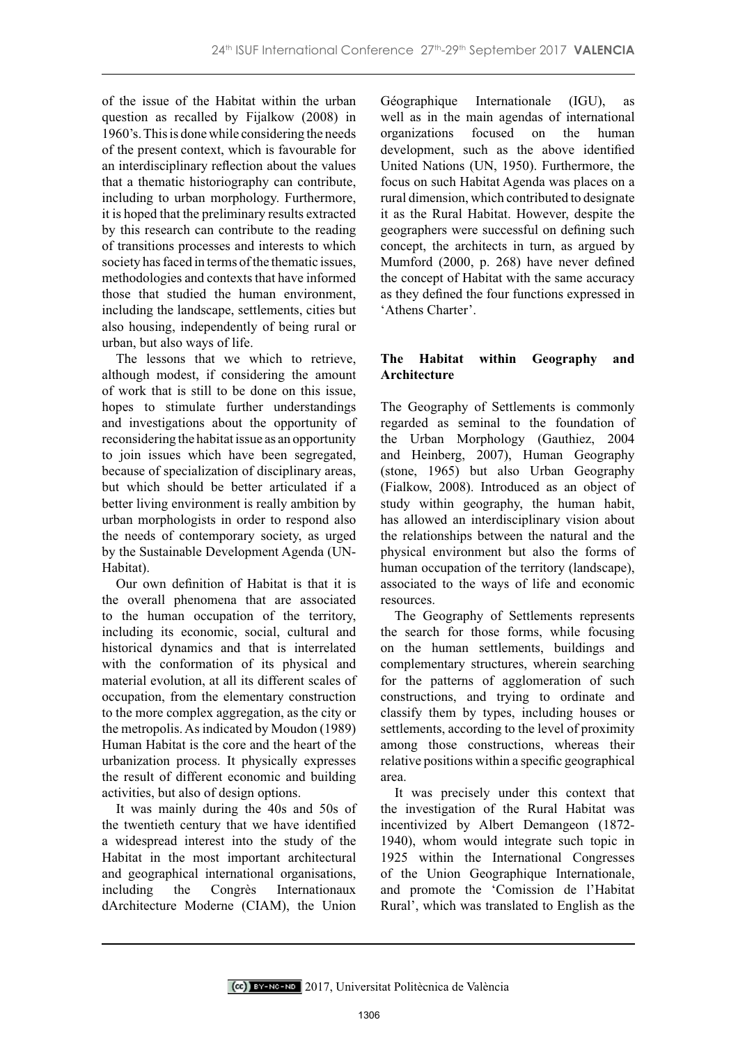of the issue of the Habitat within the urban question as recalled by Fijalkow (2008) in 1960's. This is done while considering the needs of the present context, which is favourable for an interdisciplinary reflection about the values that a thematic historiography can contribute, including to urban morphology. Furthermore, it is hoped that the preliminary results extracted by this research can contribute to the reading of transitions processes and interests to which society has faced in terms of the thematic issues, methodologies and contexts that have informed those that studied the human environment, including the landscape, settlements, cities but also housing, independently of being rural or urban, but also ways of life.

The lessons that we which to retrieve, although modest, if considering the amount of work that is still to be done on this issue, hopes to stimulate further understandings and investigations about the opportunity of reconsidering the habitat issue as an opportunity to join issues which have been segregated, because of specialization of disciplinary areas, but which should be better articulated if a better living environment is really ambition by urban morphologists in order to respond also the needs of contemporary society, as urged by the Sustainable Development Agenda (UN-Habitat).

Our own definition of Habitat is that it is the overall phenomena that are associated to the human occupation of the territory, including its economic, social, cultural and historical dynamics and that is interrelated with the conformation of its physical and material evolution, at all its different scales of occupation, from the elementary construction to the more complex aggregation, as the city or the metropolis. As indicated by Moudon (1989) Human Habitat is the core and the heart of the urbanization process. It physically expresses the result of different economic and building activities, but also of design options.

It was mainly during the 40s and 50s of the twentieth century that we have identified a widespread interest into the study of the Habitat in the most important architectural and geographical international organisations, including the Congrès Internationaux dArchitecture Moderne (CIAM), the Union

Géographique Internationale (IGU), as well as in the main agendas of international organizations focused on the human development, such as the above identified United Nations (UN, 1950). Furthermore, the focus on such Habitat Agenda was places on a rural dimension, which contributed to designate it as the Rural Habitat. However, despite the geographers were successful on defining such concept, the architects in turn, as argued by Mumford (2000, p. 268) have never defined the concept of Habitat with the same accuracy as they defined the four functions expressed in 'Athens Charter'.

# **The Habitat within Geography and Architecture**

The Geography of Settlements is commonly regarded as seminal to the foundation of the Urban Morphology (Gauthiez, 2004 and Heinberg, 2007), Human Geography (stone, 1965) but also Urban Geography (Fialkow, 2008). Introduced as an object of study within geography, the human habit, has allowed an interdisciplinary vision about the relationships between the natural and the physical environment but also the forms of human occupation of the territory (landscape), associated to the ways of life and economic resources.

The Geography of Settlements represents the search for those forms, while focusing on the human settlements, buildings and complementary structures, wherein searching for the patterns of agglomeration of such constructions, and trying to ordinate and classify them by types, including houses or settlements, according to the level of proximity among those constructions, whereas their relative positions within a specific geographical area.

It was precisely under this context that the investigation of the Rural Habitat was incentivized by Albert Demangeon (1872- 1940), whom would integrate such topic in 1925 within the International Congresses of the Union Geographique Internationale, and promote the 'Comission de l'Habitat Rural', which was translated to English as the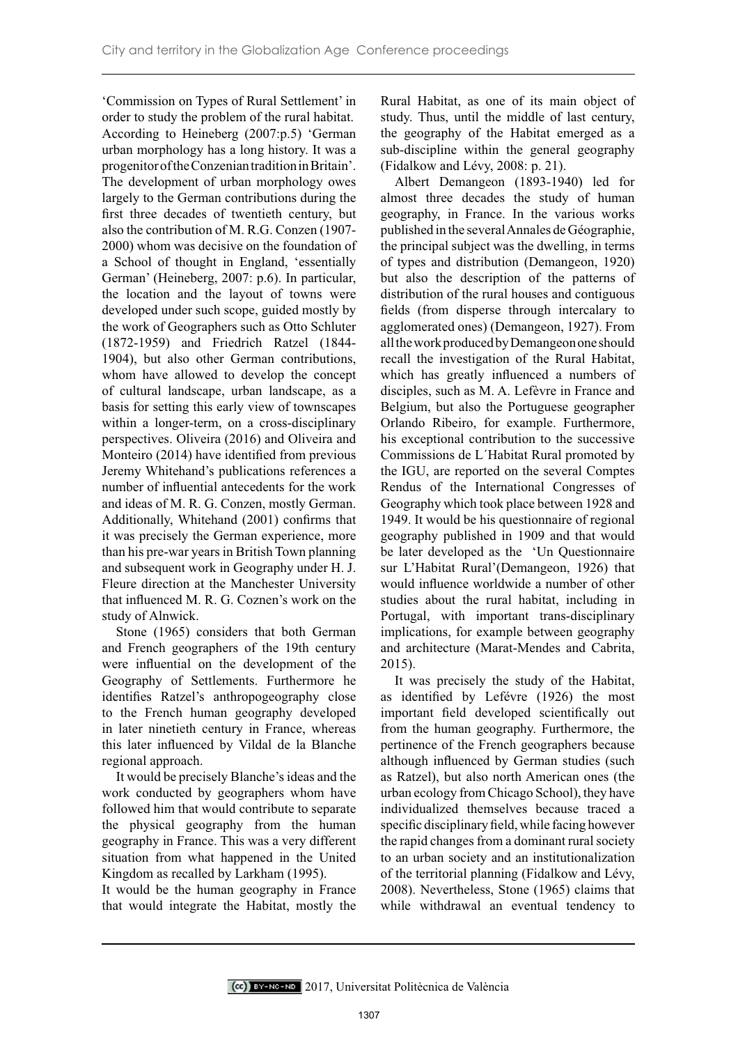'Commission on Types of Rural Settlement' in order to study the problem of the rural habitat. According to Heineberg (2007:p.5) 'German urban morphology has a long history. It was a progenitor of the Conzenian tradition in Britain'. The development of urban morphology owes largely to the German contributions during the first three decades of twentieth century, but also the contribution of M. R.G. Conzen (1907- 2000) whom was decisive on the foundation of a School of thought in England, 'essentially German' (Heineberg, 2007: p.6). In particular, the location and the layout of towns were developed under such scope, guided mostly by the work of Geographers such as Otto Schluter (1872-1959) and Friedrich Ratzel (1844- 1904), but also other German contributions, whom have allowed to develop the concept of cultural landscape, urban landscape, as a basis for setting this early view of townscapes within a longer-term, on a cross-disciplinary perspectives. Oliveira (2016) and Oliveira and Monteiro (2014) have identified from previous Jeremy Whitehand's publications references a number of influential antecedents for the work and ideas of M. R. G. Conzen, mostly German. Additionally, Whitehand (2001) confirms that it was precisely the German experience, more than his pre-war years in British Town planning and subsequent work in Geography under H. J. Fleure direction at the Manchester University that influenced M. R. G. Coznen's work on the study of Alnwick.

Stone (1965) considers that both German and French geographers of the 19th century were influential on the development of the Geography of Settlements. Furthermore he identifies Ratzel's anthropogeography close to the French human geography developed in later ninetieth century in France, whereas this later influenced by Vildal de la Blanche regional approach.

It would be precisely Blanche's ideas and the work conducted by geographers whom have followed him that would contribute to separate the physical geography from the human geography in France. This was a very different situation from what happened in the United Kingdom as recalled by Larkham (1995).

It would be the human geography in France that would integrate the Habitat, mostly the Rural Habitat, as one of its main object of study. Thus, until the middle of last century, the geography of the Habitat emerged as a sub-discipline within the general geography (Fidalkow and Lévy, 2008: p. 21).

Albert Demangeon (1893-1940) led for almost three decades the study of human geography, in France. In the various works published in the several Annales de Géographie, the principal subject was the dwelling, in terms of types and distribution (Demangeon, 1920) but also the description of the patterns of distribution of the rural houses and contiguous fields (from disperse through intercalary to agglomerated ones) (Demangeon, 1927). From all the work produced by Demangeon one should recall the investigation of the Rural Habitat, which has greatly influenced a numbers of disciples, such as M. A. Lefèvre in France and Belgium, but also the Portuguese geographer Orlando Ribeiro, for example. Furthermore, his exceptional contribution to the successive Commissions de L´Habitat Rural promoted by the IGU, are reported on the several Comptes Rendus of the International Congresses of Geography which took place between 1928 and 1949. It would be his questionnaire of regional geography published in 1909 and that would be later developed as the 'Un Questionnaire sur L'Habitat Rural'(Demangeon, 1926) that would influence worldwide a number of other studies about the rural habitat, including in Portugal, with important trans-disciplinary implications, for example between geography and architecture (Marat-Mendes and Cabrita, 2015).

It was precisely the study of the Habitat, as identified by Lefévre (1926) the most important field developed scientifically out from the human geography. Furthermore, the pertinence of the French geographers because although influenced by German studies (such as Ratzel), but also north American ones (the urban ecology from Chicago School), they have individualized themselves because traced a specific disciplinary field, while facing however the rapid changes from a dominant rural society to an urban society and an institutionalization of the territorial planning (Fidalkow and Lévy, 2008). Nevertheless, Stone (1965) claims that while withdrawal an eventual tendency to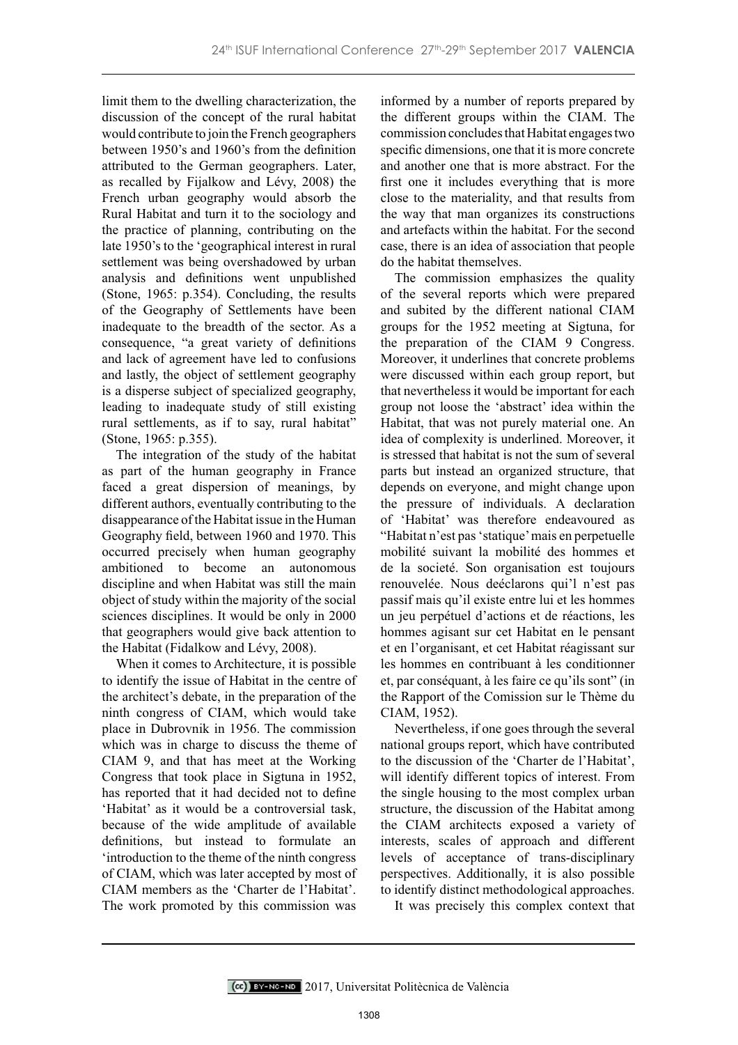limit them to the dwelling characterization, the discussion of the concept of the rural habitat would contribute to join the French geographers between 1950's and 1960's from the definition attributed to the German geographers. Later, as recalled by Fijalkow and Lévy, 2008) the French urban geography would absorb the Rural Habitat and turn it to the sociology and the practice of planning, contributing on the late 1950's to the 'geographical interest in rural settlement was being overshadowed by urban analysis and definitions went unpublished (Stone, 1965: p.354). Concluding, the results of the Geography of Settlements have been inadequate to the breadth of the sector. As a consequence, "a great variety of definitions and lack of agreement have led to confusions and lastly, the object of settlement geography is a disperse subject of specialized geography, leading to inadequate study of still existing rural settlements, as if to say, rural habitat" (Stone, 1965: p.355).

The integration of the study of the habitat as part of the human geography in France faced a great dispersion of meanings, by different authors, eventually contributing to the disappearance of the Habitat issue in the Human Geography field, between 1960 and 1970. This occurred precisely when human geography ambitioned to become an autonomous discipline and when Habitat was still the main object of study within the majority of the social sciences disciplines. It would be only in 2000 that geographers would give back attention to the Habitat (Fidalkow and Lévy, 2008).

When it comes to Architecture, it is possible to identify the issue of Habitat in the centre of the architect's debate, in the preparation of the ninth congress of CIAM, which would take place in Dubrovnik in 1956. The commission which was in charge to discuss the theme of CIAM 9, and that has meet at the Working Congress that took place in Sigtuna in 1952, has reported that it had decided not to define 'Habitat' as it would be a controversial task, because of the wide amplitude of available definitions, but instead to formulate an 'introduction to the theme of the ninth congress of CIAM, which was later accepted by most of CIAM members as the 'Charter de l'Habitat'. The work promoted by this commission was

informed by a number of reports prepared by the different groups within the CIAM. The commission concludes that Habitat engages two specific dimensions, one that it is more concrete and another one that is more abstract. For the first one it includes everything that is more close to the materiality, and that results from the way that man organizes its constructions and artefacts within the habitat. For the second case, there is an idea of association that people do the habitat themselves.

The commission emphasizes the quality of the several reports which were prepared and subited by the different national CIAM groups for the 1952 meeting at Sigtuna, for the preparation of the CIAM 9 Congress. Moreover, it underlines that concrete problems were discussed within each group report, but that nevertheless it would be important for each group not loose the 'abstract' idea within the Habitat, that was not purely material one. An idea of complexity is underlined. Moreover, it is stressed that habitat is not the sum of several parts but instead an organized structure, that depends on everyone, and might change upon the pressure of individuals. A declaration of 'Habitat' was therefore endeavoured as "Habitat n'est pas 'statique' mais en perpetuelle mobilité suivant la mobilité des hommes et de la societé. Son organisation est toujours renouvelée. Nous deéclarons qui'l n'est pas passif mais qu'il existe entre lui et les hommes un jeu perpétuel d'actions et de réactions, les hommes agisant sur cet Habitat en le pensant et en l'organisant, et cet Habitat réagissant sur les hommes en contribuant à les conditionner et, par conséquant, à les faire ce qu'ils sont" (in the Rapport of the Comission sur le Thème du CIAM, 1952).

Nevertheless, if one goes through the several national groups report, which have contributed to the discussion of the 'Charter de l'Habitat', will identify different topics of interest. From the single housing to the most complex urban structure, the discussion of the Habitat among the CIAM architects exposed a variety of interests, scales of approach and different levels of acceptance of trans-disciplinary perspectives. Additionally, it is also possible to identify distinct methodological approaches.

It was precisely this complex context that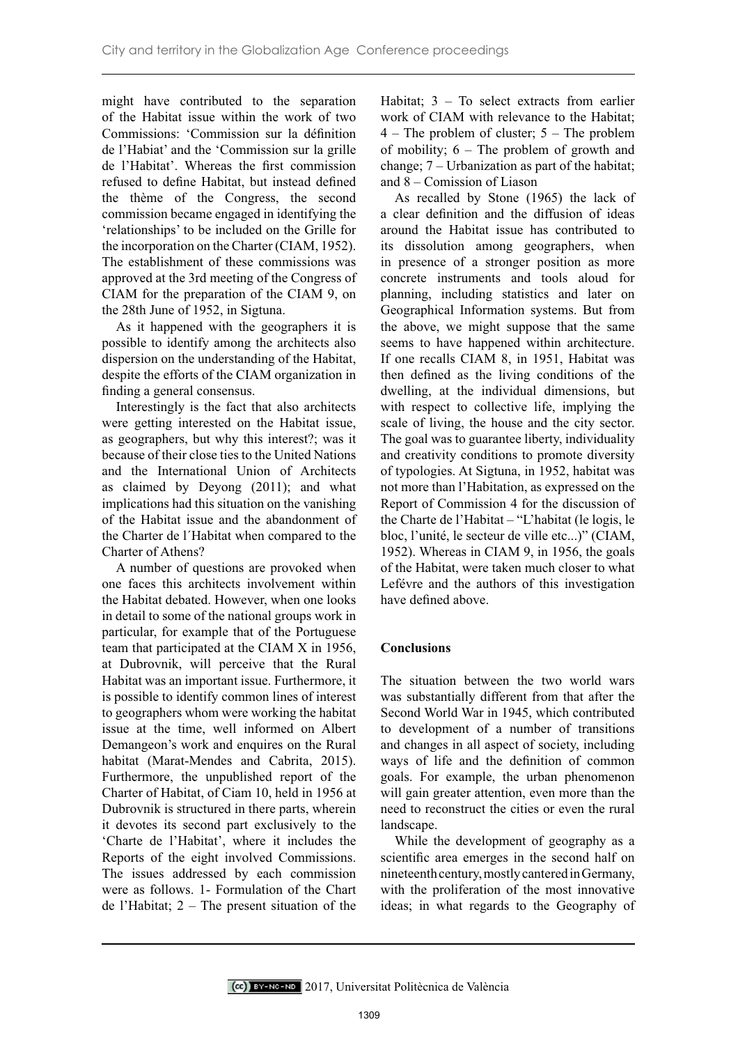might have contributed to the separation of the Habitat issue within the work of two Commissions: 'Commission sur la définition de l'Habiat' and the 'Commission sur la grille de l'Habitat'. Whereas the first commission refused to define Habitat, but instead defined the thème of the Congress, the second commission became engaged in identifying the 'relationships' to be included on the Grille for the incorporation on the Charter (CIAM, 1952). The establishment of these commissions was approved at the 3rd meeting of the Congress of CIAM for the preparation of the CIAM 9, on the 28th June of 1952, in Sigtuna.

As it happened with the geographers it is possible to identify among the architects also dispersion on the understanding of the Habitat, despite the efforts of the CIAM organization in finding a general consensus.

Interestingly is the fact that also architects were getting interested on the Habitat issue, as geographers, but why this interest?; was it because of their close ties to the United Nations and the International Union of Architects as claimed by Deyong (2011); and what implications had this situation on the vanishing of the Habitat issue and the abandonment of the Charter de l´Habitat when compared to the Charter of Athens?

A number of questions are provoked when one faces this architects involvement within the Habitat debated. However, when one looks in detail to some of the national groups work in particular, for example that of the Portuguese team that participated at the CIAM X in 1956, at Dubrovnik, will perceive that the Rural Habitat was an important issue. Furthermore, it is possible to identify common lines of interest to geographers whom were working the habitat issue at the time, well informed on Albert Demangeon's work and enquires on the Rural habitat (Marat-Mendes and Cabrita, 2015). Furthermore, the unpublished report of the Charter of Habitat, of Ciam 10, held in 1956 at Dubrovnik is structured in there parts, wherein it devotes its second part exclusively to the 'Charte de l'Habitat', where it includes the Reports of the eight involved Commissions. The issues addressed by each commission were as follows. 1- Formulation of the Chart de l'Habitat; 2 – The present situation of the

Habitat; 3 – To select extracts from earlier work of CIAM with relevance to the Habitat;  $4$  – The problem of cluster;  $5$  – The problem of mobility; 6 – The problem of growth and change; 7 – Urbanization as part of the habitat; and 8 – Comission of Liason

As recalled by Stone (1965) the lack of a clear definition and the diffusion of ideas around the Habitat issue has contributed to its dissolution among geographers, when in presence of a stronger position as more concrete instruments and tools aloud for planning, including statistics and later on Geographical Information systems. But from the above, we might suppose that the same seems to have happened within architecture. If one recalls CIAM 8, in 1951, Habitat was then defined as the living conditions of the dwelling, at the individual dimensions, but with respect to collective life, implying the scale of living, the house and the city sector. The goal was to guarantee liberty, individuality and creativity conditions to promote diversity of typologies. At Sigtuna, in 1952, habitat was not more than l'Habitation, as expressed on the Report of Commission 4 for the discussion of the Charte de l'Habitat – "L'habitat (le logis, le bloc, l'unité, le secteur de ville etc...)" (CIAM, 1952). Whereas in CIAM 9, in 1956, the goals of the Habitat, were taken much closer to what Lefévre and the authors of this investigation have defined above.

## **Conclusions**

The situation between the two world wars was substantially different from that after the Second World War in 1945, which contributed to development of a number of transitions and changes in all aspect of society, including ways of life and the definition of common goals. For example, the urban phenomenon will gain greater attention, even more than the need to reconstruct the cities or even the rural landscape.

While the development of geography as a scientific area emerges in the second half on nineteenth century, mostly cantered in Germany, with the proliferation of the most innovative ideas; in what regards to the Geography of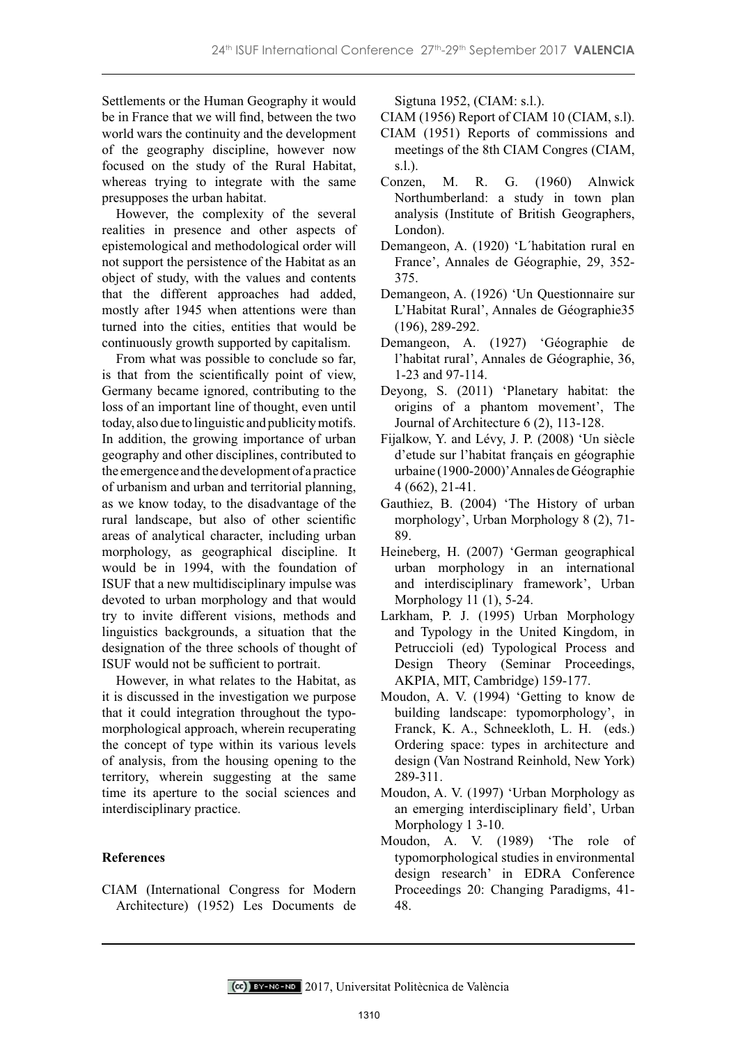Settlements or the Human Geography it would be in France that we will find, between the two world wars the continuity and the development of the geography discipline, however now focused on the study of the Rural Habitat, whereas trying to integrate with the same presupposes the urban habitat.

However, the complexity of the several realities in presence and other aspects of epistemological and methodological order will not support the persistence of the Habitat as an object of study, with the values and contents that the different approaches had added, mostly after 1945 when attentions were than turned into the cities, entities that would be continuously growth supported by capitalism.

From what was possible to conclude so far, is that from the scientifically point of view, Germany became ignored, contributing to the loss of an important line of thought, even until today, also due to linguistic and publicity motifs. In addition, the growing importance of urban geography and other disciplines, contributed to the emergence and the development of a practice of urbanism and urban and territorial planning, as we know today, to the disadvantage of the rural landscape, but also of other scientific areas of analytical character, including urban morphology, as geographical discipline. It would be in 1994, with the foundation of ISUF that a new multidisciplinary impulse was devoted to urban morphology and that would try to invite different visions, methods and linguistics backgrounds, a situation that the designation of the three schools of thought of ISUF would not be sufficient to portrait.

However, in what relates to the Habitat, as it is discussed in the investigation we purpose that it could integration throughout the typomorphological approach, wherein recuperating the concept of type within its various levels of analysis, from the housing opening to the territory, wherein suggesting at the same time its aperture to the social sciences and interdisciplinary practice.

## **References**

CIAM (International Congress for Modern Architecture) (1952) Les Documents de

Sigtuna 1952, (CIAM: s.l.).

CIAM (1956) Report of CIAM 10 (CIAM, s.l).

- CIAM (1951) Reports of commissions and meetings of the 8th CIAM Congres (CIAM, s.l.).
- Conzen, M. R. G. (1960) Alnwick Northumberland: a study in town plan analysis (Institute of British Geographers, London).
- Demangeon, A. (1920) 'L´habitation rural en France', Annales de Géographie, 29, 352- 375.
- Demangeon, A. (1926) 'Un Questionnaire sur L'Habitat Rural', Annales de Géographie35 (196), 289-292.
- Demangeon, A. (1927) 'Géographie de l'habitat rural', Annales de Géographie, 36, 1-23 and 97-114.
- Deyong, S. (2011) 'Planetary habitat: the origins of a phantom movement', The Journal of Architecture 6 (2), 113-128.
- Fijalkow, Y. and Lévy, J. P. (2008) 'Un siècle d'etude sur l'habitat français en géographie urbaine (1900-2000)' Annales de Géographie 4 (662), 21-41.
- Gauthiez, B. (2004) 'The History of urban morphology', Urban Morphology 8 (2), 71- 89.
- Heineberg, H. (2007) 'German geographical urban morphology in an international and interdisciplinary framework', Urban Morphology 11 (1), 5-24.
- Larkham, P. J. (1995) Urban Morphology and Typology in the United Kingdom, in Petruccioli (ed) Typological Process and Design Theory (Seminar Proceedings, AKPIA, MIT, Cambridge) 159-177.
- Moudon, A. V. (1994) 'Getting to know de building landscape: typomorphology', in Franck, K. A., Schneekloth, L. H. (eds.) Ordering space: types in architecture and design (Van Nostrand Reinhold, New York) 289-311.
- Moudon, A. V. (1997) 'Urban Morphology as an emerging interdisciplinary field'. Urban Morphology 1 3-10.
- Moudon, A. V. (1989) 'The role of typomorphological studies in environmental design research' in EDRA Conference Proceedings 20: Changing Paradigms, 41- 48.